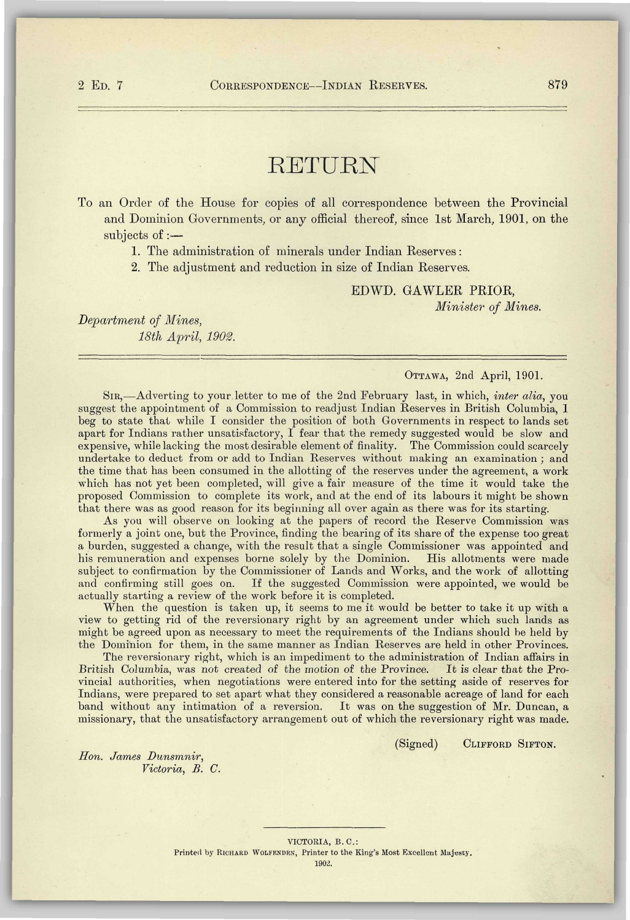*^^^^* 

## RETURN

To an Order of the House for copies of all correspondence between the Provincial and Dominion Governments, or any official thereof, since 1st March, 1901, on the subjects of:—

1. The administration of minerals under Indian Reserves :

2. The adjustment and reduction in size of Indian Reserves.

EDWD. GAWLER PRIOR, *Minister of Mines.* 

*Department of Mines, 18th April, 1902.* 

## OTTAWA, 2nd April, 1901.

SIR,—Adverting to your letter to me of the 2nd February last, in which, *inter alia,* you suggest the appointment of a Commission to readjust Indian Reserves in British Columbia, 1 beg to state that while I consider the position of both Governments in respect to lands set apart for Indians rather unsatisfactory,  $I$  fear that the remedy suggested would be slow and expensive, while lacking the most desirable element of finality. The Commission could scarcely undertake to deduct from or add to Indian Reserves without making an examination ; and the time that has been consumed in the allotting of the reserves under the agreement, a work which has not yet been completed, will give a fair measure of the time it would take the proposed Commission to complete its work, and at the end of its labours it might be shown that there was as good reason for its beginning all over again as there was for its starting.

As you will observe on looking at the papers of record the Reserve Commission was formerly a joint one, but the Province, finding the bearing of its share of the expense too great a burden, suggested a change, with the result that a single Commissioner was appointed and his remuneration and expenses borne solely by the Dominion. His allotments were made subject to confirmation by the Commissioner of Lands and Works, and the work of allotting and confirming still goes on. If the suggested Commission were appointed, we would be actually starting a review of the work before it is completed.

When the question is taken up, it seems to me it would be better to take it up with a view to getting rid of the reversionary right by an agreement under which such lands as might be agreed upon as necessary to meet the requirements of the Indians should be held by the Dominion for them, in the same manner as Indian Reserves are held in other Provinces.

The reversionary right, which is an impediment to the administration of Indian affairs in British Columbia, was not created of the motion of the Province. It is clear that the Provincial authorities, when negotiations were entered into for the setting aside of reserves for Indians, were prepared to set apart what they considered a reasonable acreage of land for each band without any intimation of a reversion. It was on the suggestion of Mr. Duncan, a missionary, that the unsatisfactory arrangement out of which the reversionary right was made.

(Signed) CLIFFORD SIFTON.

*Hon. James Dunsmnir, Victoria, B. C.*